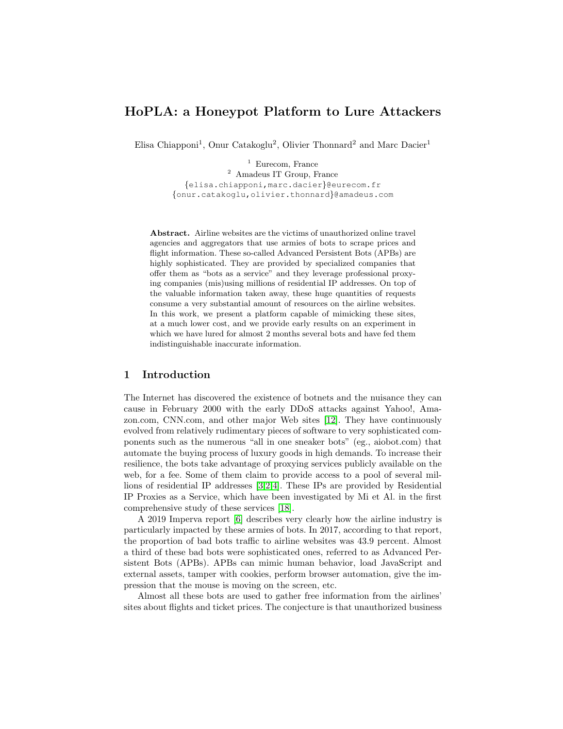# HoPLA: a Honeypot Platform to Lure Attackers

Elisa Chiapponi<sup>1</sup>, Onur Catakoglu<sup>2</sup>, Olivier Thonnard<sup>2</sup> and Marc Dacier<sup>1</sup>

 $1$  Eurecom, France <sup>2</sup> Amadeus IT Group, France {elisa.chiapponi,marc.dacier}@eurecom.fr {onur.catakoglu,olivier.thonnard}@amadeus.com

Abstract. Airline websites are the victims of unauthorized online travel agencies and aggregators that use armies of bots to scrape prices and flight information. These so-called Advanced Persistent Bots (APBs) are highly sophisticated. They are provided by specialized companies that offer them as "bots as a service" and they leverage professional proxying companies (mis)using millions of residential IP addresses. On top of the valuable information taken away, these huge quantities of requests consume a very substantial amount of resources on the airline websites. In this work, we present a platform capable of mimicking these sites, at a much lower cost, and we provide early results on an experiment in which we have lured for almost 2 months several bots and have fed them indistinguishable inaccurate information.

## 1 Introduction

The Internet has discovered the existence of botnets and the nuisance they can cause in February 2000 with the early DDoS attacks against Yahoo!, Amazon.com, CNN.com, and other major Web sites [\[12\]](#page-9-0). They have continuously evolved from relatively rudimentary pieces of software to very sophisticated components such as the numerous "all in one sneaker bots" (eg., aiobot.com) that automate the buying process of luxury goods in high demands. To increase their resilience, the bots take advantage of proxying services publicly available on the web, for a fee. Some of them claim to provide access to a pool of several millions of residential IP addresses [\[3,](#page-9-1)[2,](#page-9-2)[4\]](#page-9-3). These IPs are provided by Residential IP Proxies as a Service, which have been investigated by Mi et Al. in the first comprehensive study of these services [\[18\]](#page-10-0).

A 2019 Imperva report [\[6\]](#page-9-4) describes very clearly how the airline industry is particularly impacted by these armies of bots. In 2017, according to that report, the proportion of bad bots traffic to airline websites was 43.9 percent. Almost a third of these bad bots were sophisticated ones, referred to as Advanced Persistent Bots (APBs). APBs can mimic human behavior, load JavaScript and external assets, tamper with cookies, perform browser automation, give the impression that the mouse is moving on the screen, etc.

Almost all these bots are used to gather free information from the airlines' sites about flights and ticket prices. The conjecture is that unauthorized business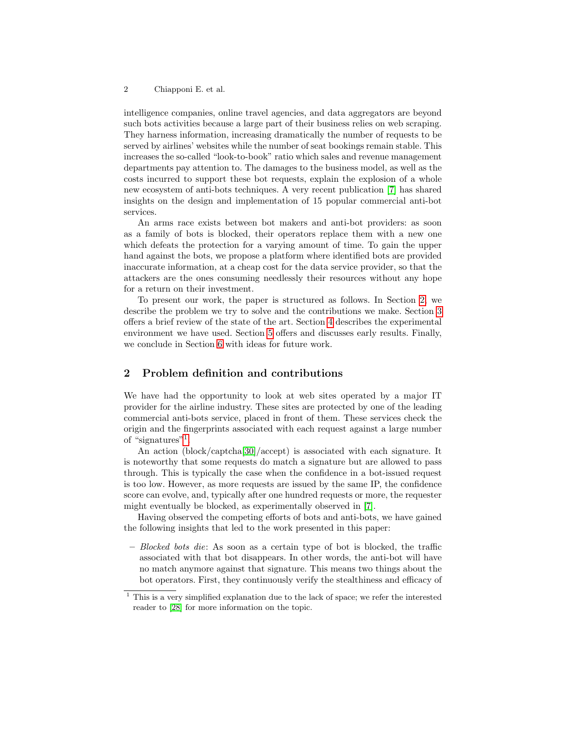intelligence companies, online travel agencies, and data aggregators are beyond such bots activities because a large part of their business relies on web scraping. They harness information, increasing dramatically the number of requests to be served by airlines' websites while the number of seat bookings remain stable. This increases the so-called "look-to-book" ratio which sales and revenue management departments pay attention to. The damages to the business model, as well as the costs incurred to support these bot requests, explain the explosion of a whole new ecosystem of anti-bots techniques. A very recent publication [\[7\]](#page-9-5) has shared insights on the design and implementation of 15 popular commercial anti-bot services.

An arms race exists between bot makers and anti-bot providers: as soon as a family of bots is blocked, their operators replace them with a new one which defeats the protection for a varying amount of time. To gain the upper hand against the bots, we propose a platform where identified bots are provided inaccurate information, at a cheap cost for the data service provider, so that the attackers are the ones consuming needlessly their resources without any hope for a return on their investment.

To present our work, the paper is structured as follows. In Section [2,](#page-1-0) we describe the problem we try to solve and the contributions we make. Section [3](#page-2-0) offers a brief review of the state of the art. Section [4](#page-3-0) describes the experimental environment we have used. Section [5](#page-5-0) offers and discusses early results. Finally, we conclude in Section [6](#page-8-0) with ideas for future work.

## <span id="page-1-0"></span>2 Problem definition and contributions

We have had the opportunity to look at web sites operated by a major IT provider for the airline industry. These sites are protected by one of the leading commercial anti-bots service, placed in front of them. These services check the origin and the fingerprints associated with each request against a large number of "signatures"[1](#page-1-1) .

An action (block/captcha[\[30\]](#page-10-1)/accept) is associated with each signature. It is noteworthy that some requests do match a signature but are allowed to pass through. This is typically the case when the confidence in a bot-issued request is too low. However, as more requests are issued by the same IP, the confidence score can evolve, and, typically after one hundred requests or more, the requester might eventually be blocked, as experimentally observed in [\[7\]](#page-9-5).

Having observed the competing efforts of bots and anti-bots, we have gained the following insights that led to the work presented in this paper:

 $-$  Blocked bots die: As soon as a certain type of bot is blocked, the traffic associated with that bot disappears. In other words, the anti-bot will have no match anymore against that signature. This means two things about the bot operators. First, they continuously verify the stealthiness and efficacy of

<span id="page-1-1"></span> $1$  This is a very simplified explanation due to the lack of space; we refer the interested reader to [\[28\]](#page-10-2) for more information on the topic.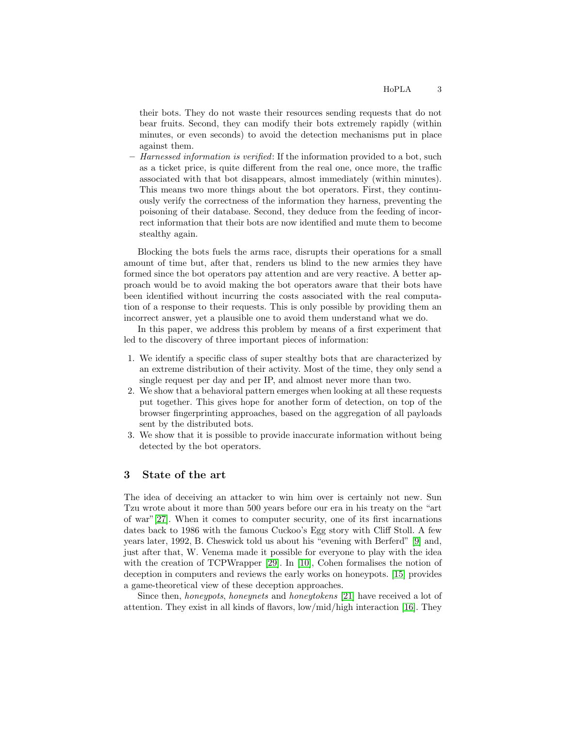their bots. They do not waste their resources sending requests that do not bear fruits. Second, they can modify their bots extremely rapidly (within minutes, or even seconds) to avoid the detection mechanisms put in place against them.

 $-$  Harnessed information is verified: If the information provided to a bot, such as a ticket price, is quite different from the real one, once more, the traffic associated with that bot disappears, almost immediately (within minutes). This means two more things about the bot operators. First, they continuously verify the correctness of the information they harness, preventing the poisoning of their database. Second, they deduce from the feeding of incorrect information that their bots are now identified and mute them to become stealthy again.

Blocking the bots fuels the arms race, disrupts their operations for a small amount of time but, after that, renders us blind to the new armies they have formed since the bot operators pay attention and are very reactive. A better approach would be to avoid making the bot operators aware that their bots have been identified without incurring the costs associated with the real computation of a response to their requests. This is only possible by providing them an incorrect answer, yet a plausible one to avoid them understand what we do.

In this paper, we address this problem by means of a first experiment that led to the discovery of three important pieces of information:

- 1. We identify a specific class of super stealthy bots that are characterized by an extreme distribution of their activity. Most of the time, they only send a single request per day and per IP, and almost never more than two.
- 2. We show that a behavioral pattern emerges when looking at all these requests put together. This gives hope for another form of detection, on top of the browser fingerprinting approaches, based on the aggregation of all payloads sent by the distributed bots.
- 3. We show that it is possible to provide inaccurate information without being detected by the bot operators.

### <span id="page-2-0"></span>3 State of the art

The idea of deceiving an attacker to win him over is certainly not new. Sun Tzu wrote about it more than 500 years before our era in his treaty on the "art of war"[\[27\]](#page-10-3). When it comes to computer security, one of its first incarnations dates back to 1986 with the famous Cuckoo's Egg story with Cliff Stoll. A few years later, 1992, B. Cheswick told us about his "evening with Berferd" [\[9\]](#page-9-6) and, just after that, W. Venema made it possible for everyone to play with the idea with the creation of TCPWrapper [\[29\]](#page-10-4). In [\[10\]](#page-9-7), Cohen formalises the notion of deception in computers and reviews the early works on honeypots. [\[15\]](#page-9-8) provides a game-theoretical view of these deception approaches.

Since then, honeypots, honeynets and honeytokens [\[21\]](#page-10-5) have received a lot of attention. They exist in all kinds of flavors, low/mid/high interaction [\[16\]](#page-10-6). They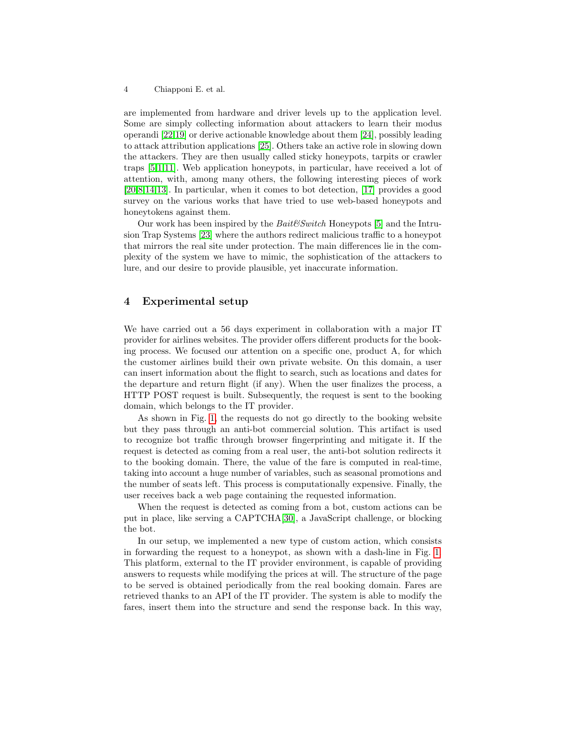are implemented from hardware and driver levels up to the application level. Some are simply collecting information about attackers to learn their modus operandi [\[22,](#page-10-7)[19\]](#page-10-8) or derive actionable knowledge about them [\[24\]](#page-10-9), possibly leading to attack attribution applications [\[25\]](#page-10-10). Others take an active role in slowing down the attackers. They are then usually called sticky honeypots, tarpits or crawler traps [\[5,](#page-9-9)[1](#page-9-10)[,11\]](#page-9-11). Web application honeypots, in particular, have received a lot of attention, with, among many others, the following interesting pieces of work [\[20](#page-10-11)[,8](#page-9-12)[,14,](#page-9-13)[13\]](#page-9-14). In particular, when it comes to bot detection, [\[17\]](#page-10-12) provides a good survey on the various works that have tried to use web-based honeypots and honeytokens against them.

Our work has been inspired by the  $Bait\mathcal{C}Switch$  Honeypots [\[5\]](#page-9-9) and the Intrusion Trap Systems [\[23\]](#page-10-13) where the authors redirect malicious traffic to a honeypot that mirrors the real site under protection. The main differences lie in the complexity of the system we have to mimic, the sophistication of the attackers to lure, and our desire to provide plausible, yet inaccurate information.

## <span id="page-3-0"></span>4 Experimental setup

We have carried out a 56 days experiment in collaboration with a major IT provider for airlines websites. The provider offers different products for the booking process. We focused our attention on a specific one, product A, for which the customer airlines build their own private website. On this domain, a user can insert information about the flight to search, such as locations and dates for the departure and return flight (if any). When the user finalizes the process, a HTTP POST request is built. Subsequently, the request is sent to the booking domain, which belongs to the IT provider.

As shown in Fig. [1,](#page-4-0) the requests do not go directly to the booking website but they pass through an anti-bot commercial solution. This artifact is used to recognize bot traffic through browser fingerprinting and mitigate it. If the request is detected as coming from a real user, the anti-bot solution redirects it to the booking domain. There, the value of the fare is computed in real-time, taking into account a huge number of variables, such as seasonal promotions and the number of seats left. This process is computationally expensive. Finally, the user receives back a web page containing the requested information.

When the request is detected as coming from a bot, custom actions can be put in place, like serving a CAPTCHA[\[30\]](#page-10-1), a JavaScript challenge, or blocking the bot.

In our setup, we implemented a new type of custom action, which consists in forwarding the request to a honeypot, as shown with a dash-line in Fig. [1.](#page-4-0) This platform, external to the IT provider environment, is capable of providing answers to requests while modifying the prices at will. The structure of the page to be served is obtained periodically from the real booking domain. Fares are retrieved thanks to an API of the IT provider. The system is able to modify the fares, insert them into the structure and send the response back. In this way,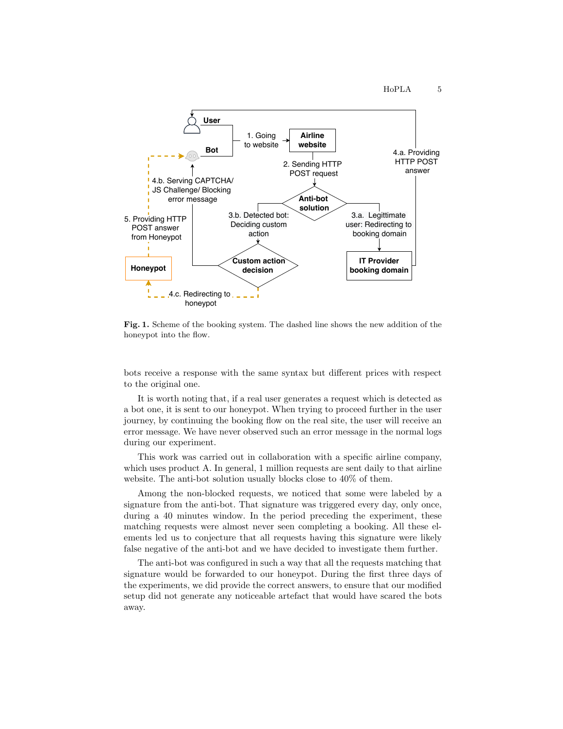

<span id="page-4-0"></span>Fig. 1. Scheme of the booking system. The dashed line shows the new addition of the honeypot into the flow.

bots receive a response with the same syntax but different prices with respect to the original one.

It is worth noting that, if a real user generates a request which is detected as a bot one, it is sent to our honeypot. When trying to proceed further in the user journey, by continuing the booking flow on the real site, the user will receive an error message. We have never observed such an error message in the normal logs during our experiment.

This work was carried out in collaboration with a specific airline company, which uses product A. In general, 1 million requests are sent daily to that airline website. The anti-bot solution usually blocks close to 40% of them.

Among the non-blocked requests, we noticed that some were labeled by a signature from the anti-bot. That signature was triggered every day, only once, during a 40 minutes window. In the period preceding the experiment, these matching requests were almost never seen completing a booking. All these elements led us to conjecture that all requests having this signature were likely false negative of the anti-bot and we have decided to investigate them further.

The anti-bot was configured in such a way that all the requests matching that signature would be forwarded to our honeypot. During the first three days of the experiments, we did provide the correct answers, to ensure that our modified setup did not generate any noticeable artefact that would have scared the bots away.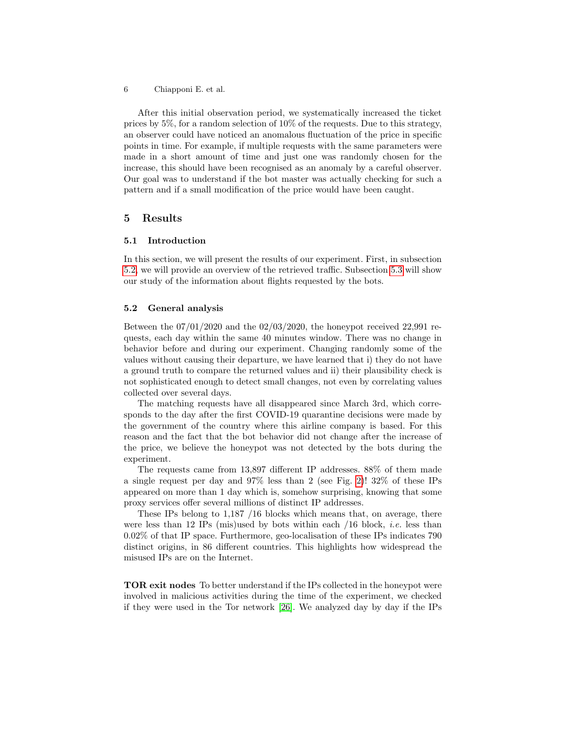After this initial observation period, we systematically increased the ticket prices by 5%, for a random selection of 10% of the requests. Due to this strategy, an observer could have noticed an anomalous fluctuation of the price in specific points in time. For example, if multiple requests with the same parameters were made in a short amount of time and just one was randomly chosen for the increase, this should have been recognised as an anomaly by a careful observer. Our goal was to understand if the bot master was actually checking for such a pattern and if a small modification of the price would have been caught.

### <span id="page-5-0"></span>5 Results

#### 5.1 Introduction

In this section, we will present the results of our experiment. First, in subsection [5.2,](#page-5-1) we will provide an overview of the retrieved traffic. Subsection [5.3](#page-6-0) will show our study of the information about flights requested by the bots.

#### <span id="page-5-1"></span>5.2 General analysis

Between the  $07/01/2020$  and the  $02/03/2020$ , the honeypot received 22,991 requests, each day within the same 40 minutes window. There was no change in behavior before and during our experiment. Changing randomly some of the values without causing their departure, we have learned that i) they do not have a ground truth to compare the returned values and ii) their plausibility check is not sophisticated enough to detect small changes, not even by correlating values collected over several days.

The matching requests have all disappeared since March 3rd, which corresponds to the day after the first COVID-19 quarantine decisions were made by the government of the country where this airline company is based. For this reason and the fact that the bot behavior did not change after the increase of the price, we believe the honeypot was not detected by the bots during the experiment.

The requests came from 13,897 different IP addresses. 88% of them made a single request per day and 97% less than 2 (see Fig. [2\)](#page-6-1)! 32% of these IPs appeared on more than 1 day which is, somehow surprising, knowing that some proxy services offer several millions of distinct IP addresses.

These IPs belong to 1,187 /16 blocks which means that, on average, there were less than 12 IPs (mis)used by bots within each  $/16$  block, *i.e.* less than 0.02% of that IP space. Furthermore, geo-localisation of these IPs indicates 790 distinct origins, in 86 different countries. This highlights how widespread the misused IPs are on the Internet.

TOR exit nodes To better understand if the IPs collected in the honeypot were involved in malicious activities during the time of the experiment, we checked if they were used in the Tor network [\[26\]](#page-10-14). We analyzed day by day if the IPs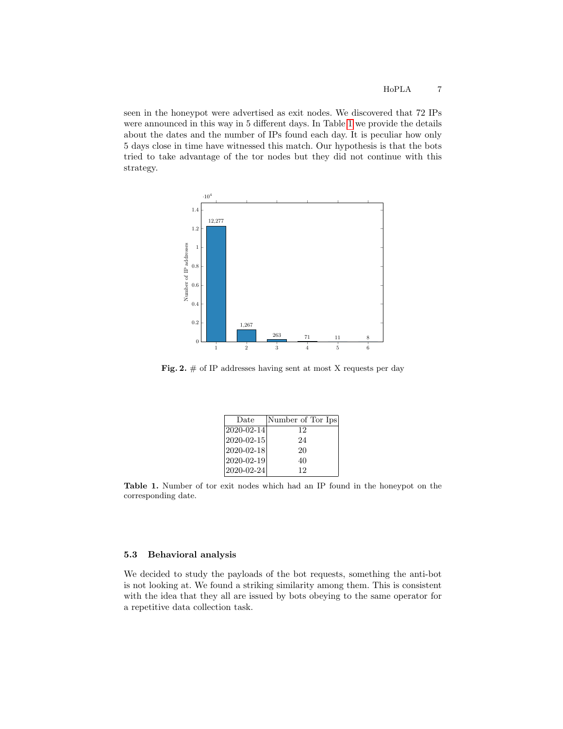seen in the honeypot were advertised as exit nodes. We discovered that 72 IPs were announced in this way in 5 different days. In Table [1](#page-6-2) we provide the details about the dates and the number of IPs found each day. It is peculiar how only 5 days close in time have witnessed this match. Our hypothesis is that the bots tried to take advantage of the tor nodes but they did not continue with this strategy.



<span id="page-6-1"></span>Fig. 2.  $\#$  of IP addresses having sent at most X requests per day

| Date               | Number of Tor Ips |
|--------------------|-------------------|
| $ 2020-02-14 $     | 12                |
| $ 2020 - 02 - 15 $ | 24                |
| $ 2020 - 02 - 18 $ | 20                |
| $ 2020 - 02 - 19 $ | 40                |
| $2020 - 02 - 24$   | 12                |

<span id="page-6-2"></span>Table 1. Number of tor exit nodes which had an IP found in the honeypot on the corresponding date.

#### <span id="page-6-0"></span>5.3 Behavioral analysis

We decided to study the payloads of the bot requests, something the anti-bot is not looking at. We found a striking similarity among them. This is consistent with the idea that they all are issued by bots obeying to the same operator for a repetitive data collection task.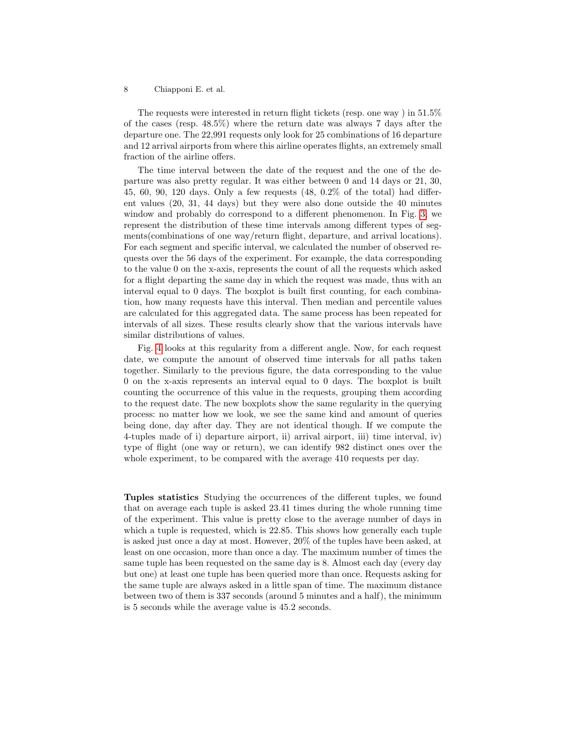The requests were interested in return flight tickets (resp. one way ) in 51.5% of the cases (resp. 48.5%) where the return date was always 7 days after the departure one. The 22,991 requests only look for 25 combinations of 16 departure and 12 arrival airports from where this airline operates flights, an extremely small fraction of the airline offers.

The time interval between the date of the request and the one of the departure was also pretty regular. It was either between 0 and 14 days or 21, 30, 45, 60, 90, 120 days. Only a few requests (48, 0.2% of the total) had different values (20, 31, 44 days) but they were also done outside the 40 minutes window and probably do correspond to a different phenomenon. In Fig. [3,](#page-8-1) we represent the distribution of these time intervals among different types of segments(combinations of one way/return flight, departure, and arrival locations). For each segment and specific interval, we calculated the number of observed requests over the 56 days of the experiment. For example, the data corresponding to the value 0 on the x-axis, represents the count of all the requests which asked for a flight departing the same day in which the request was made, thus with an interval equal to 0 days. The boxplot is built first counting, for each combination, how many requests have this interval. Then median and percentile values are calculated for this aggregated data. The same process has been repeated for intervals of all sizes. These results clearly show that the various intervals have similar distributions of values.

Fig. [4](#page-8-2) looks at this regularity from a different angle. Now, for each request date, we compute the amount of observed time intervals for all paths taken together. Similarly to the previous figure, the data corresponding to the value 0 on the x-axis represents an interval equal to 0 days. The boxplot is built counting the occurrence of this value in the requests, grouping them according to the request date. The new boxplots show the same regularity in the querying process: no matter how we look, we see the same kind and amount of queries being done, day after day. They are not identical though. If we compute the 4-tuples made of i) departure airport, ii) arrival airport, iii) time interval, iv) type of flight (one way or return), we can identify 982 distinct ones over the whole experiment, to be compared with the average 410 requests per day.

Tuples statistics Studying the occurrences of the different tuples, we found that on average each tuple is asked 23.41 times during the whole running time of the experiment. This value is pretty close to the average number of days in which a tuple is requested, which is 22.85. This shows how generally each tuple is asked just once a day at most. However, 20% of the tuples have been asked, at least on one occasion, more than once a day. The maximum number of times the same tuple has been requested on the same day is 8. Almost each day (every day but one) at least one tuple has been queried more than once. Requests asking for the same tuple are always asked in a little span of time. The maximum distance between two of them is 337 seconds (around 5 minutes and a half), the minimum is 5 seconds while the average value is 45.2 seconds.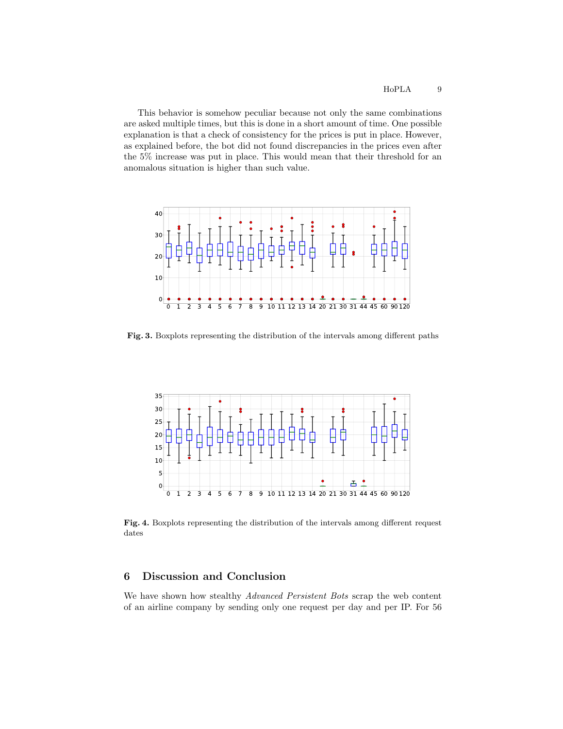This behavior is somehow peculiar because not only the same combinations are asked multiple times, but this is done in a short amount of time. One possible explanation is that a check of consistency for the prices is put in place. However, as explained before, the bot did not found discrepancies in the prices even after the 5% increase was put in place. This would mean that their threshold for an anomalous situation is higher than such value.



<span id="page-8-1"></span>Fig. 3. Boxplots representing the distribution of the intervals among different paths



<span id="page-8-2"></span>Fig. 4. Boxplots representing the distribution of the intervals among different request dates

## <span id="page-8-0"></span>6 Discussion and Conclusion

We have shown how stealthy Advanced Persistent Bots scrap the web content of an airline company by sending only one request per day and per IP. For 56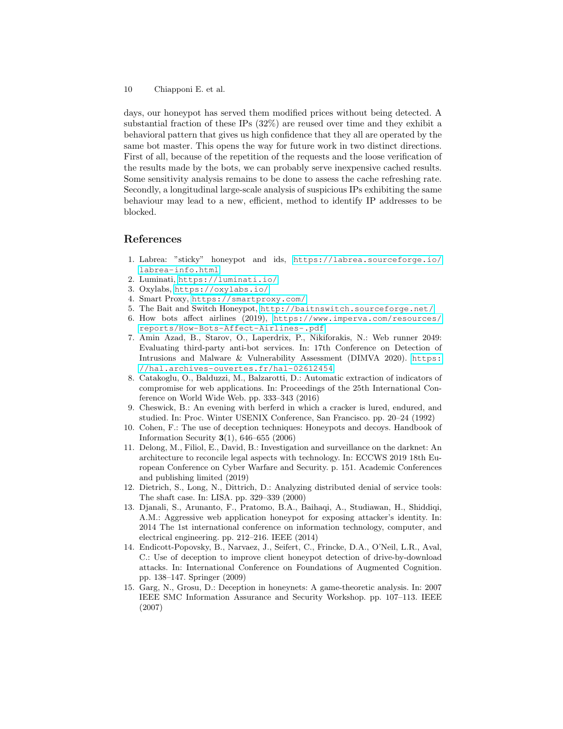days, our honeypot has served them modified prices without being detected. A substantial fraction of these IPs (32%) are reused over time and they exhibit a behavioral pattern that gives us high confidence that they all are operated by the same bot master. This opens the way for future work in two distinct directions. First of all, because of the repetition of the requests and the loose verification of the results made by the bots, we can probably serve inexpensive cached results. Some sensitivity analysis remains to be done to assess the cache refreshing rate. Secondly, a longitudinal large-scale analysis of suspicious IPs exhibiting the same behaviour may lead to a new, efficient, method to identify IP addresses to be blocked.

### References

- <span id="page-9-10"></span>1. Labrea: "sticky" honeypot and ids, [https://labrea.sourceforge.io/](https://labrea.sourceforge.io/labrea-info.html) [labrea-info.html](https://labrea.sourceforge.io/labrea-info.html)
- <span id="page-9-2"></span>2. Luminati, <https://luminati.io/>
- <span id="page-9-1"></span>3. Oxylabs, <https://oxylabs.io/>
- <span id="page-9-3"></span>4. Smart Proxy, <https://smartproxy.com/>
- <span id="page-9-9"></span>5. The Bait and Switch Honeypot, <http://baitnswitch.sourceforge.net/>
- <span id="page-9-4"></span>6. How bots affect airlines (2019), [https://www.imperva.com/resources/](https://www.imperva.com/resources/reports/How-Bots-Affect-Airlines-.pdf) [reports/How-Bots-Affect-Airlines-.pdf](https://www.imperva.com/resources/reports/How-Bots-Affect-Airlines-.pdf)
- <span id="page-9-5"></span>7. Amin Azad, B., Starov, O., Laperdrix, P., Nikiforakis, N.: Web runner 2049: Evaluating third-party anti-bot services. In: 17th Conference on Detection of Intrusions and Malware & Vulnerability Assessment (DIMVA 2020). [https:](https://hal.archives-ouvertes.fr/hal-02612454) [//hal.archives-ouvertes.fr/hal-02612454](https://hal.archives-ouvertes.fr/hal-02612454)
- <span id="page-9-12"></span>8. Catakoglu, O., Balduzzi, M., Balzarotti, D.: Automatic extraction of indicators of compromise for web applications. In: Proceedings of the 25th International Conference on World Wide Web. pp. 333–343 (2016)
- <span id="page-9-6"></span>9. Cheswick, B.: An evening with berferd in which a cracker is lured, endured, and studied. In: Proc. Winter USENIX Conference, San Francisco. pp. 20–24 (1992)
- <span id="page-9-7"></span>10. Cohen, F.: The use of deception techniques: Honeypots and decoys. Handbook of Information Security 3(1), 646–655 (2006)
- <span id="page-9-11"></span>11. Delong, M., Filiol, E., David, B.: Investigation and surveillance on the darknet: An architecture to reconcile legal aspects with technology. In: ECCWS 2019 18th European Conference on Cyber Warfare and Security. p. 151. Academic Conferences and publishing limited (2019)
- <span id="page-9-0"></span>12. Dietrich, S., Long, N., Dittrich, D.: Analyzing distributed denial of service tools: The shaft case. In: LISA. pp. 329–339 (2000)
- <span id="page-9-14"></span>13. Djanali, S., Arunanto, F., Pratomo, B.A., Baihaqi, A., Studiawan, H., Shiddiqi, A.M.: Aggressive web application honeypot for exposing attacker's identity. In: 2014 The 1st international conference on information technology, computer, and electrical engineering. pp. 212–216. IEEE (2014)
- <span id="page-9-13"></span>14. Endicott-Popovsky, B., Narvaez, J., Seifert, C., Frincke, D.A., O'Neil, L.R., Aval, C.: Use of deception to improve client honeypot detection of drive-by-download attacks. In: International Conference on Foundations of Augmented Cognition. pp. 138–147. Springer (2009)
- <span id="page-9-8"></span>15. Garg, N., Grosu, D.: Deception in honeynets: A game-theoretic analysis. In: 2007 IEEE SMC Information Assurance and Security Workshop. pp. 107–113. IEEE (2007)